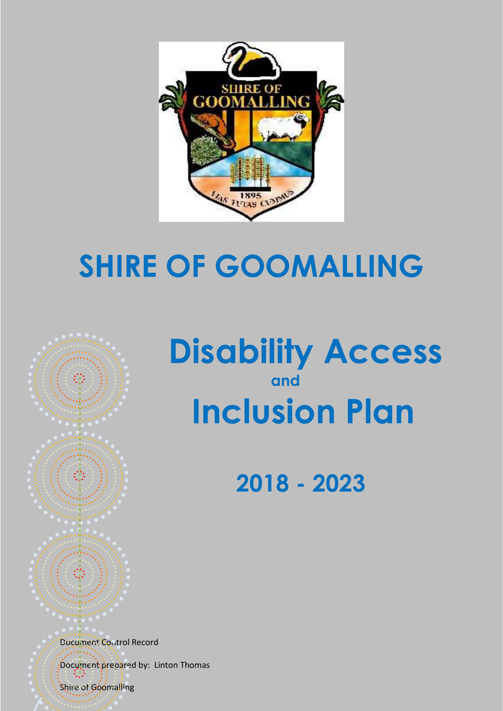

## **SHIRE OF GOOMALLING**



## **2018 - 2023**

Document Control Record

Document prepared by: Linton Thomas Shire of Goomalling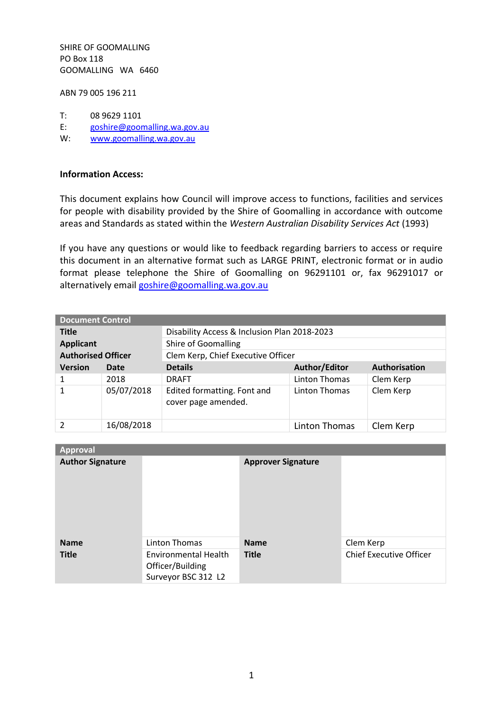SHIRE OF GOOMALLING PO Box 118 GOOMALLING WA 6460

ABN 79 005 196 211

- T:  $0896291101$ <br>E:  $goshire@goon$
- E: [goshire@goomalling.wa.gov.au](mailto:goshire@goomalling.wa.gov.au)<br>W: www.goomalling.wa.gov.au
- [www.goomalling.wa.gov.au](http://www.goomalling.wa.gov.au/)

#### **Information Access:**

This document explains how Council will improve access to functions, facilities and services for people with disability provided by the Shire of Goomalling in accordance with outcome areas and Standards as stated within the *Western Australian Disability Services Act* (1993)

If you have any questions or would like to feedback regarding barriers to access or require this document in an alternative format such as LARGE PRINT, electronic format or in audio format please telephone the Shire of Goomalling on 96291101 or, fax 96291017 or alternatively email [goshire@goomalling.wa.gov.au](mailto:goshire@goomalling.wa.gov.au)

| <b>Document Control</b>   |            |                                                    |                                    |               |  |
|---------------------------|------------|----------------------------------------------------|------------------------------------|---------------|--|
| <b>Title</b>              |            | Disability Access & Inclusion Plan 2018-2023       |                                    |               |  |
| <b>Applicant</b>          |            | Shire of Goomalling                                |                                    |               |  |
| <b>Authorised Officer</b> |            |                                                    | Clem Kerp, Chief Executive Officer |               |  |
| <b>Version</b>            | Date       | <b>Details</b>                                     | Author/Editor                      | Authorisation |  |
| 1                         | 2018       | <b>DRAFT</b>                                       | Linton Thomas                      | Clem Kerp     |  |
|                           | 05/07/2018 | Edited formatting. Font and<br>cover page amended. | Linton Thomas                      | Clem Kerp     |  |
|                           | 16/08/2018 |                                                    | Linton Thomas                      | Clem Kerp     |  |

| <b>Approval</b>         |                                                                 |                           |                                |
|-------------------------|-----------------------------------------------------------------|---------------------------|--------------------------------|
| <b>Author Signature</b> |                                                                 | <b>Approver Signature</b> |                                |
| <b>Name</b>             | Linton Thomas                                                   | <b>Name</b>               | Clem Kerp                      |
| <b>Title</b>            | Environmental Health<br>Officer/Building<br>Surveyor BSC 312 L2 | <b>Title</b>              | <b>Chief Executive Officer</b> |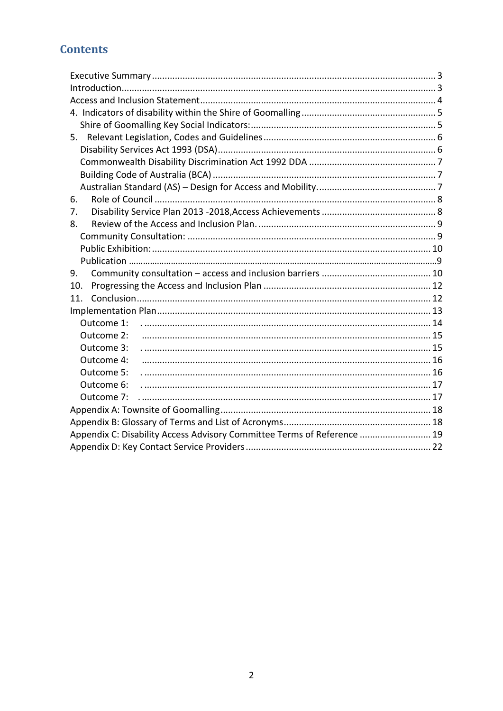## **Contents**

| 5.                                                                      |  |
|-------------------------------------------------------------------------|--|
|                                                                         |  |
|                                                                         |  |
|                                                                         |  |
|                                                                         |  |
| 6.                                                                      |  |
| 7.                                                                      |  |
| 8.                                                                      |  |
|                                                                         |  |
|                                                                         |  |
|                                                                         |  |
| 9.                                                                      |  |
| 10.                                                                     |  |
| 11.                                                                     |  |
|                                                                         |  |
| Outcome 1:                                                              |  |
| Outcome 2:                                                              |  |
| Outcome 3:                                                              |  |
| Outcome 4:                                                              |  |
| Outcome 5:                                                              |  |
| Outcome 6:                                                              |  |
| Outcome 7:                                                              |  |
|                                                                         |  |
|                                                                         |  |
| Appendix C: Disability Access Advisory Committee Terms of Reference  19 |  |
|                                                                         |  |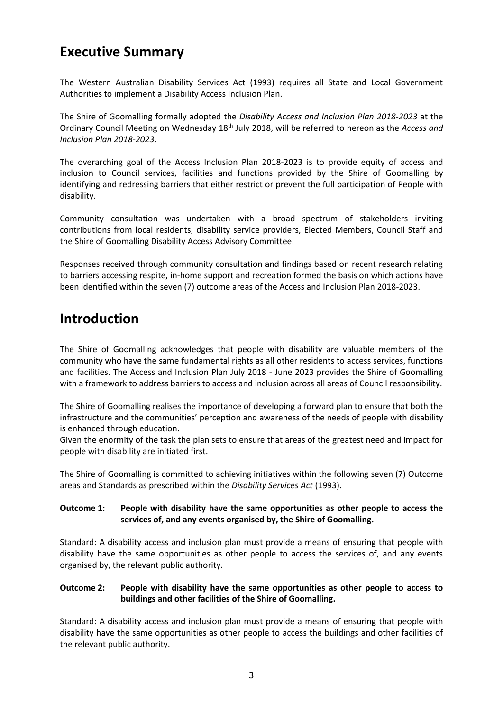## <span id="page-3-0"></span>**Executive Summary**

The Western Australian Disability Services Act (1993) requires all State and Local Government Authorities to implement a Disability Access Inclusion Plan.

The Shire of Goomalling formally adopted the *Disability Access and Inclusion Plan 2018-2023* at the Ordinary Council Meeting on Wednesday 18<sup>th</sup> July 2018, will be referred to hereon as the *Access and Inclusion Plan 2018-2023*.

The overarching goal of the Access Inclusion Plan 2018-2023 is to provide equity of access and inclusion to Council services, facilities and functions provided by the Shire of Goomalling by identifying and redressing barriers that either restrict or prevent the full participation of People with disability.

Community consultation was undertaken with a broad spectrum of stakeholders inviting contributions from local residents, disability service providers, Elected Members, Council Staff and the Shire of Goomalling Disability Access Advisory Committee.

Responses received through community consultation and findings based on recent research relating to barriers accessing respite, in-home support and recreation formed the basis on which actions have been identified within the seven (7) outcome areas of the Access and Inclusion Plan 2018-2023.

## <span id="page-3-1"></span>**Introduction**

The Shire of Goomalling acknowledges that people with disability are valuable members of the community who have the same fundamental rights as all other residents to access services, functions and facilities. The Access and Inclusion Plan July 2018 - June 2023 provides the Shire of Goomalling with a framework to address barriers to access and inclusion across all areas of Council responsibility.

The Shire of Goomalling realises the importance of developing a forward plan to ensure that both the infrastructure and the communities' perception and awareness of the needs of people with disability is enhanced through education.

Given the enormity of the task the plan sets to ensure that areas of the greatest need and impact for people with disability are initiated first.

The Shire of Goomalling is committed to achieving initiatives within the following seven (7) Outcome areas and Standards as prescribed within the *Disability Services Act* (1993).

#### **Outcome 1: People with disability have the same opportunities as other people to access the services of, and any events organised by, the Shire of Goomalling.**

Standard: A disability access and inclusion plan must provide a means of ensuring that people with disability have the same opportunities as other people to access the services of, and any events organised by, the relevant public authority.

#### **Outcome 2: People with disability have the same opportunities as other people to access to buildings and other facilities of the Shire of Goomalling.**

Standard: A disability access and inclusion plan must provide a means of ensuring that people with disability have the same opportunities as other people to access the buildings and other facilities of the relevant public authority.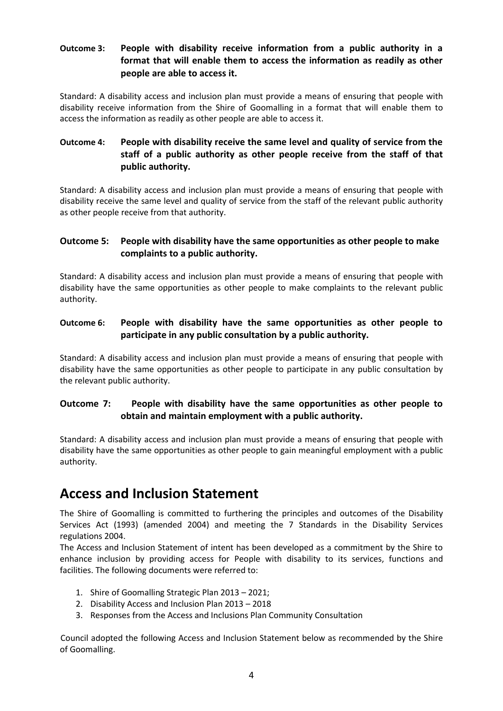#### **Outcome 3: People with disability receive information from a public authority in a format that will enable them to access the information as readily as other people are able to access it.**

Standard: A disability access and inclusion plan must provide a means of ensuring that people with disability receive information from the Shire of Goomalling in a format that will enable them to access the information as readily as other people are able to access it.

#### **Outcome 4: People with disability receive the same level and quality of service from the staff of a public authority as other people receive from the staff of that public authority.**

Standard: A disability access and inclusion plan must provide a means of ensuring that people with disability receive the same level and quality of service from the staff of the relevant public authority as other people receive from that authority.

#### **Outcome 5: People with disability have the same opportunities as other people to make complaints to a public authority.**

Standard: A disability access and inclusion plan must provide a means of ensuring that people with disability have the same opportunities as other people to make complaints to the relevant public authority.

#### **Outcome 6: People with disability have the same opportunities as other people to participate in any public consultation by a public authority.**

Standard: A disability access and inclusion plan must provide a means of ensuring that people with disability have the same opportunities as other people to participate in any public consultation by the relevant public authority.

#### **Outcome 7: People with disability have the same opportunities as other people to obtain and maintain employment with a public authority.**

Standard: A disability access and inclusion plan must provide a means of ensuring that people with disability have the same opportunities as other people to gain meaningful employment with a public authority.

## <span id="page-4-0"></span>**Access and Inclusion Statement**

The Shire of Goomalling is committed to furthering the principles and outcomes of the Disability Services Act (1993) (amended 2004) and meeting the 7 Standards in the Disability Services regulations 2004.

The Access and Inclusion Statement of intent has been developed as a commitment by the Shire to enhance inclusion by providing access for People with disability to its services, functions and facilities. The following documents were referred to:

- 1. Shire of Goomalling Strategic Plan 2013 2021;
- 2. Disability Access and Inclusion Plan 2013 2018
- 3. Responses from the Access and Inclusions Plan Community Consultation

Council adopted the following Access and Inclusion Statement below as recommended by the Shire of Goomalling.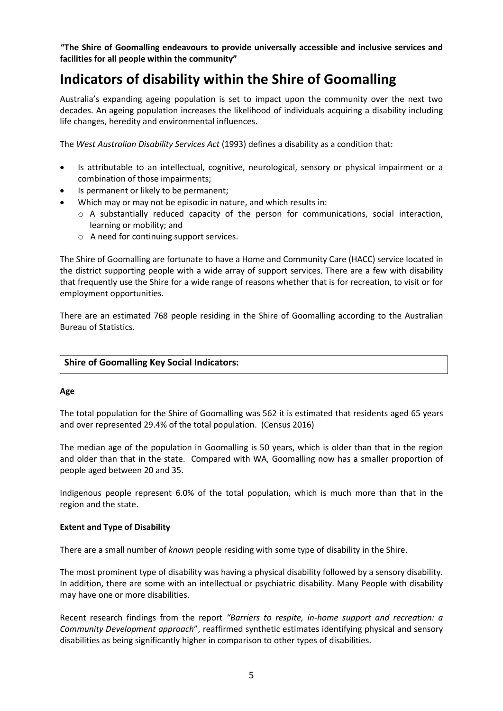**"The Shire of Goomalling endeavours to provide universally accessible and inclusive services and facilities for all people within the community"** 

## <span id="page-5-0"></span>**Indicators of disability within the Shire of Goomalling**

Australia's expanding ageing population is set to impact upon the community over the next two decades. An ageing population increases the likelihood of individuals acquiring a disability including life changes, heredity and environmental influences.

The *West Australian Disability Services Act* (1993) defines a disability as a condition that:

- Is attributable to an intellectual, cognitive, neurological, sensory or physical impairment or a combination of those impairments;
- Is permanent or likely to be permanent;
- Which may or may not be episodic in nature, and which results in:
	- o A substantially reduced capacity of the person for communications, social interaction, learning or mobility; and
	- o A need for continuing support services.

The Shire of Goomalling are fortunate to have a Home and Community Care (HACC) service located in the district supporting people with a wide array of support services. There are a few with disability that frequently use the Shire for a wide range of reasons whether that is for recreation, to visit or for employment opportunities.

There are an estimated 768 people residing in the Shire of Goomalling according to the Australian Bureau of Statistics.

#### <span id="page-5-1"></span>**Shire of Goomalling Key Social Indicators:**

#### **Age**

The total population for the Shire of Goomalling was 562 it is estimated that residents aged 65 years and over represented 29.4% of the total population. (Census 2016)

The median age of the population in Goomalling is 50 years, which is older than that in the region and older than that in the state. Compared with WA, Goomalling now has a smaller proportion of people aged between 20 and 35.

Indigenous people represent 6.0% of the total population, which is much more than that in the region and the state.

#### **Extent and Type of Disability**

There are a small number of *known* people residing with some type of disability in the Shire.

The most prominent type of disability was having a physical disability followed by a sensory disability. In addition, there are some with an intellectual or psychiatric disability. Many People with disability may have one or more disabilities.

Recent research findings from the report *"Barriers to respite, in-home support and recreation: a Community Development approach*", reaffirmed synthetic estimates identifying physical and sensory disabilities as being significantly higher in comparison to other types of disabilities.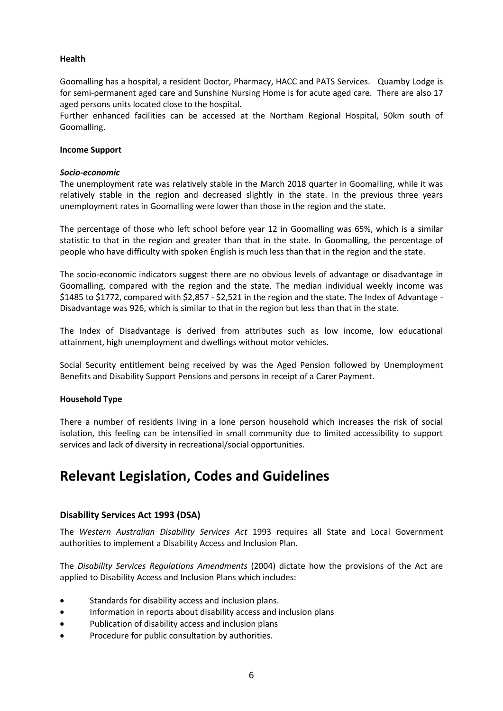#### **Health**

Goomalling has a hospital, a resident Doctor, Pharmacy, HACC and PATS Services. Quamby Lodge is for semi-permanent aged care and Sunshine Nursing Home is for acute aged care. There are also 17 aged persons units located close to the hospital.

Further enhanced facilities can be accessed at the Northam Regional Hospital, 50km south of Goomalling.

#### **Income Support**

#### *Socio-economic*

The unemployment rate was relatively stable in the March 2018 quarter in Goomalling, while it was relatively stable in the region and decreased slightly in the state. In the previous three years unemployment rates in Goomalling were lower than those in the region and the state.

The percentage of those who left school before year 12 in Goomalling was 65%, which is a similar statistic to that in the region and greater than that in the state. In Goomalling, the percentage of people who have difficulty with spoken English is much less than that in the region and the state.

The socio-economic indicators suggest there are no obvious levels of advantage or disadvantage in Goomalling, compared with the region and the state. The median individual weekly income was \$1485 to \$1772, compared with \$2,857 - \$2,521 in the region and the state. The Index of Advantage - Disadvantage was 926, which is similar to that in the region but less than that in the state.

The Index of Disadvantage is derived from attributes such as low income, low educational attainment, high unemployment and dwellings without motor vehicles.

Social Security entitlement being received by was the Aged Pension followed by Unemployment Benefits and Disability Support Pensions and persons in receipt of a Carer Payment.

#### **Household Type**

There a number of residents living in a lone person household which increases the risk of social isolation, this feeling can be intensified in small community due to limited accessibility to support services and lack of diversity in recreational/social opportunities.

## <span id="page-6-0"></span>**Relevant Legislation, Codes and Guidelines**

#### <span id="page-6-1"></span>**Disability Services Act 1993 (DSA)**

The *Western Australian Disability Services Act* 1993 requires all State and Local Government authorities to implement a Disability Access and Inclusion Plan.

The *Disability Services Regulations Amendments* (2004) dictate how the provisions of the Act are applied to Disability Access and Inclusion Plans which includes:

- Standards for disability access and inclusion plans.
- Information in reports about disability access and inclusion plans
- Publication of disability access and inclusion plans
- Procedure for public consultation by authorities.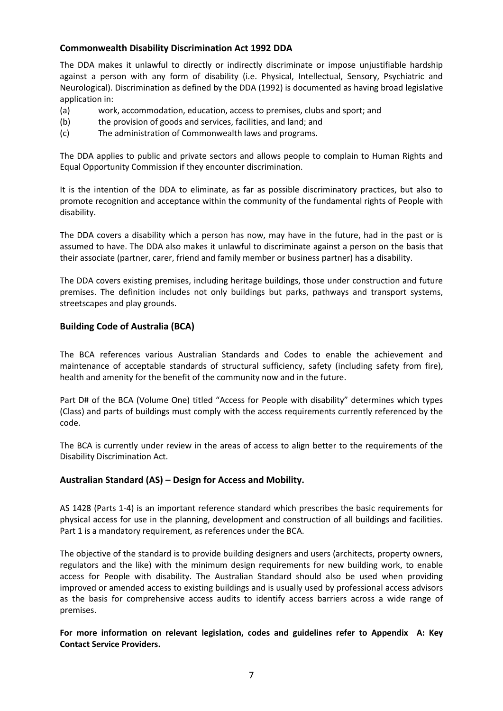#### <span id="page-7-0"></span>**Commonwealth Disability Discrimination Act 1992 DDA**

The DDA makes it unlawful to directly or indirectly discriminate or impose unjustifiable hardship against a person with any form of disability (i.e. Physical, Intellectual, Sensory, Psychiatric and Neurological). Discrimination as defined by the DDA (1992) is documented as having broad legislative application in:

- (a) work, accommodation, education, access to premises, clubs and sport; and
- (b) the provision of goods and services, facilities, and land; and
- (c) The administration of Commonwealth laws and programs.

The DDA applies to public and private sectors and allows people to complain to Human Rights and Equal Opportunity Commission if they encounter discrimination.

It is the intention of the DDA to eliminate, as far as possible discriminatory practices, but also to promote recognition and acceptance within the community of the fundamental rights of People with disability.

The DDA covers a disability which a person has now, may have in the future, had in the past or is assumed to have. The DDA also makes it unlawful to discriminate against a person on the basis that their associate (partner, carer, friend and family member or business partner) has a disability.

The DDA covers existing premises, including heritage buildings, those under construction and future premises. The definition includes not only buildings but parks, pathways and transport systems, streetscapes and play grounds.

#### <span id="page-7-1"></span>**Building Code of Australia (BCA)**

The BCA references various Australian Standards and Codes to enable the achievement and maintenance of acceptable standards of structural sufficiency, safety (including safety from fire), health and amenity for the benefit of the community now and in the future.

Part D# of the BCA (Volume One) titled "Access for People with disability" determines which types (Class) and parts of buildings must comply with the access requirements currently referenced by the code.

The BCA is currently under review in the areas of access to align better to the requirements of the Disability Discrimination Act.

#### <span id="page-7-2"></span>**Australian Standard (AS) – Design for Access and Mobility.**

AS 1428 (Parts 1-4) is an important reference standard which prescribes the basic requirements for physical access for use in the planning, development and construction of all buildings and facilities. Part 1 is a mandatory requirement, as references under the BCA.

The objective of the standard is to provide building designers and users (architects, property owners, regulators and the like) with the minimum design requirements for new building work, to enable access for People with disability. The Australian Standard should also be used when providing improved or amended access to existing buildings and is usually used by professional access advisors as the basis for comprehensive access audits to identify access barriers across a wide range of premises.

**For more information on relevant legislation, codes and guidelines refer to Appendix A: Key Contact Service Providers.**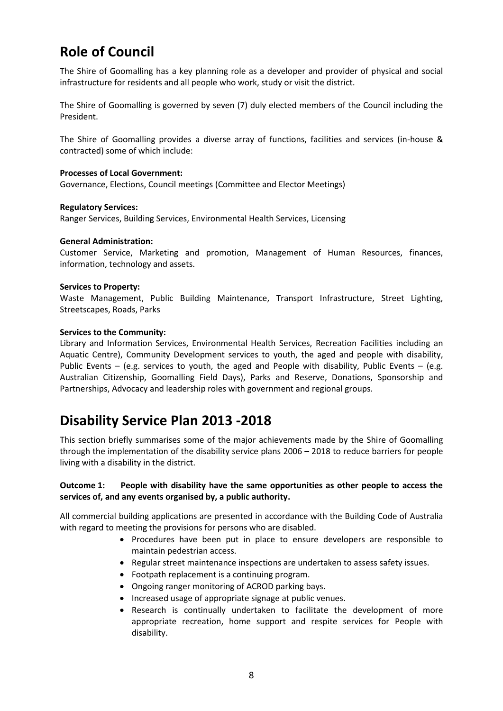## <span id="page-8-0"></span>**Role of Council**

The Shire of Goomalling has a key planning role as a developer and provider of physical and social infrastructure for residents and all people who work, study or visit the district.

The Shire of Goomalling is governed by seven (7) duly elected members of the Council including the President.

The Shire of Goomalling provides a diverse array of functions, facilities and services (in-house & contracted) some of which include:

#### **Processes of Local Government:**

Governance, Elections, Council meetings (Committee and Elector Meetings)

#### **Regulatory Services:**

Ranger Services, Building Services, Environmental Health Services, Licensing

#### **General Administration:**

Customer Service, Marketing and promotion, Management of Human Resources, finances, information, technology and assets.

#### **Services to Property:**

Waste Management, Public Building Maintenance, Transport Infrastructure, Street Lighting, Streetscapes, Roads, Parks

#### **Services to the Community:**

Library and Information Services, Environmental Health Services, Recreation Facilities including an Aquatic Centre), Community Development services to youth, the aged and people with disability, Public Events – (e.g. services to youth, the aged and People with disability, Public Events – (e.g. Australian Citizenship, Goomalling Field Days), Parks and Reserve, Donations, Sponsorship and Partnerships, Advocacy and leadership roles with government and regional groups.

## <span id="page-8-1"></span>**Disability Service Plan 2013 -2018**

This section briefly summarises some of the major achievements made by the Shire of Goomalling through the implementation of the disability service plans 2006 – 2018 to reduce barriers for people living with a disability in the district.

#### **Outcome 1: People with disability have the same opportunities as other people to access the services of, and any events organised by, a public authority.**

All commercial building applications are presented in accordance with the Building Code of Australia with regard to meeting the provisions for persons who are disabled.

- Procedures have been put in place to ensure developers are responsible to maintain pedestrian access.
- Regular street maintenance inspections are undertaken to assess safety issues.
- Footpath replacement is a continuing program.
- Ongoing ranger monitoring of ACROD parking bays.
- Increased usage of appropriate signage at public venues.
- Research is continually undertaken to facilitate the development of more appropriate recreation, home support and respite services for People with disability.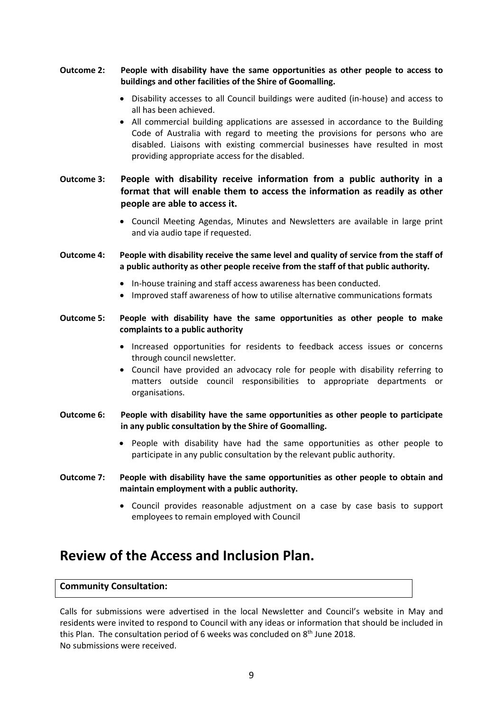#### **Outcome 2: People with disability have the same opportunities as other people to access to buildings and other facilities of the Shire of Goomalling.**

- Disability accesses to all Council buildings were audited (in-house) and access to all has been achieved.
- All commercial building applications are assessed in accordance to the Building Code of Australia with regard to meeting the provisions for persons who are disabled. Liaisons with existing commercial businesses have resulted in most providing appropriate access for the disabled.
- **Outcome 3: People with disability receive information from a public authority in a format that will enable them to access the information as readily as other people are able to access it.**
	- Council Meeting Agendas, Minutes and Newsletters are available in large print and via audio tape if requested.
- **Outcome 4: People with disability receive the same level and quality of service from the staff of a public authority as other people receive from the staff of that public authority.** 
	- In-house training and staff access awareness has been conducted.
	- Improved staff awareness of how to utilise alternative communications formats

#### **Outcome 5: People with disability have the same opportunities as other people to make complaints to a public authority**

- Increased opportunities for residents to feedback access issues or concerns through council newsletter.
- Council have provided an advocacy role for people with disability referring to matters outside council responsibilities to appropriate departments or organisations.
- **Outcome 6: People with disability have the same opportunities as other people to participate in any public consultation by the Shire of Goomalling.**
	- People with disability have had the same opportunities as other people to participate in any public consultation by the relevant public authority.
- **Outcome 7: People with disability have the same opportunities as other people to obtain and maintain employment with a public authority.**
	- Council provides reasonable adjustment on a case by case basis to support employees to remain employed with Council

## <span id="page-9-0"></span>**Review of the Access and Inclusion Plan.**

#### <span id="page-9-1"></span>**Community Consultation:**

Calls for submissions were advertised in the local Newsletter and Council's website in May and residents were invited to respond to Council with any ideas or information that should be included in this Plan. The consultation period of 6 weeks was concluded on 8<sup>th</sup> June 2018. No submissions were received.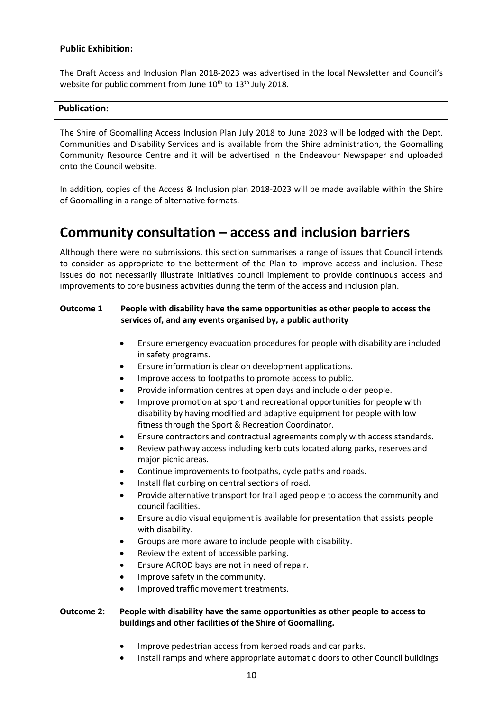#### <span id="page-10-0"></span>**Public Exhibition:**

The Draft Access and Inclusion Plan 2018-2023 was advertised in the local Newsletter and Council's website for public comment from June 10<sup>th</sup> to 13<sup>th</sup> July 2018.

#### **Publication:**

The Shire of Goomalling Access Inclusion Plan July 2018 to June 2023 will be lodged with the Dept. Communities and Disability Services and is available from the Shire administration, the Goomalling Community Resource Centre and it will be advertised in the Endeavour Newspaper and uploaded onto the Council website.

In addition, copies of the Access & Inclusion plan 2018-2023 will be made available within the Shire of Goomalling in a range of alternative formats.

## <span id="page-10-1"></span>**Community consultation – access and inclusion barriers**

Although there were no submissions, this section summarises a range of issues that Council intends to consider as appropriate to the betterment of the Plan to improve access and inclusion. These issues do not necessarily illustrate initiatives council implement to provide continuous access and improvements to core business activities during the term of the access and inclusion plan.

#### **Outcome 1 People with disability have the same opportunities as other people to access the services of, and any events organised by, a public authority**

- Ensure emergency evacuation procedures for people with disability are included in safety programs.
- Ensure information is clear on development applications.
- Improve access to footpaths to promote access to public.
- Provide information centres at open days and include older people.
- Improve promotion at sport and recreational opportunities for people with disability by having modified and adaptive equipment for people with low fitness through the Sport & Recreation Coordinator.
- Ensure contractors and contractual agreements comply with access standards.
- Review pathway access including kerb cuts located along parks, reserves and major picnic areas.
- Continue improvements to footpaths, cycle paths and roads.
- Install flat curbing on central sections of road.
- Provide alternative transport for frail aged people to access the community and council facilities.
- Ensure audio visual equipment is available for presentation that assists people with disability.
- Groups are more aware to include people with disability.
- Review the extent of accessible parking.
- Ensure ACROD bays are not in need of repair.
- Improve safety in the community.
- Improved traffic movement treatments.

#### **Outcome 2: People with disability have the same opportunities as other people to access to buildings and other facilities of the Shire of Goomalling.**

- Improve pedestrian access from kerbed roads and car parks.
- Install ramps and where appropriate automatic doors to other Council buildings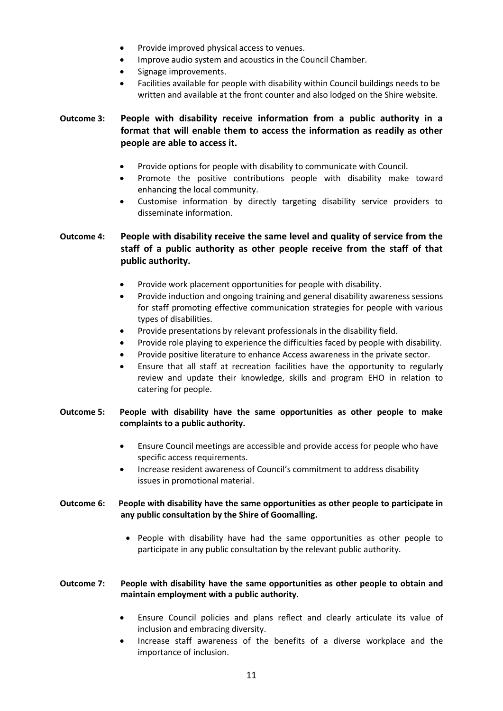- Provide improved physical access to venues.
- Improve audio system and acoustics in the Council Chamber.
- Signage improvements.
- Facilities available for people with disability within Council buildings needs to be written and available at the front counter and also lodged on the Shire website.

#### **Outcome 3: People with disability receive information from a public authority in a format that will enable them to access the information as readily as other people are able to access it.**

- Provide options for people with disability to communicate with Council.
- Promote the positive contributions people with disability make toward enhancing the local community.
- Customise information by directly targeting disability service providers to disseminate information.

#### **Outcome 4: People with disability receive the same level and quality of service from the staff of a public authority as other people receive from the staff of that public authority.**

- Provide work placement opportunities for people with disability.
- Provide induction and ongoing training and general disability awareness sessions for staff promoting effective communication strategies for people with various types of disabilities.
- Provide presentations by relevant professionals in the disability field.
- Provide role playing to experience the difficulties faced by people with disability.
- Provide positive literature to enhance Access awareness in the private sector.
- Ensure that all staff at recreation facilities have the opportunity to regularly review and update their knowledge, skills and program EHO in relation to catering for people.

#### **Outcome 5: People with disability have the same opportunities as other people to make complaints to a public authority.**

- Ensure Council meetings are accessible and provide access for people who have specific access requirements.
- Increase resident awareness of Council's commitment to address disability issues in promotional material.

#### **Outcome 6: People with disability have the same opportunities as other people to participate in any public consultation by the Shire of Goomalling.**

• People with disability have had the same opportunities as other people to participate in any public consultation by the relevant public authority.

#### **Outcome 7: People with disability have the same opportunities as other people to obtain and maintain employment with a public authority.**

- Ensure Council policies and plans reflect and clearly articulate its value of inclusion and embracing diversity.
- Increase staff awareness of the benefits of a diverse workplace and the importance of inclusion.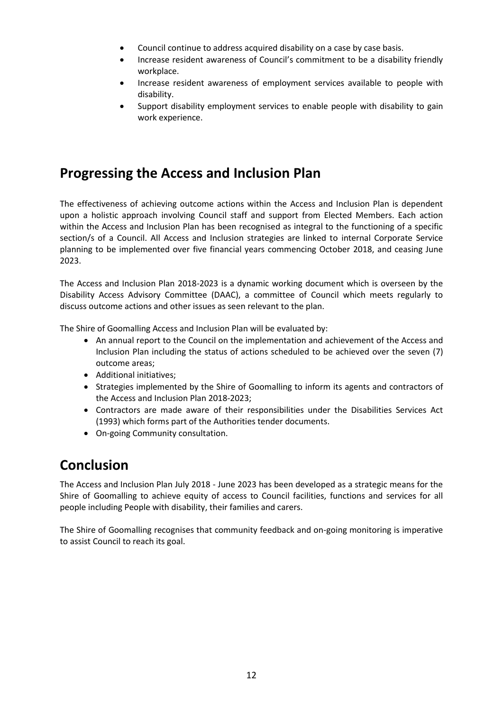- Council continue to address acquired disability on a case by case basis.
- Increase resident awareness of Council's commitment to be a disability friendly workplace.
- Increase resident awareness of employment services available to people with disability.
- Support disability employment services to enable people with disability to gain work experience.

## <span id="page-12-0"></span>**Progressing the Access and Inclusion Plan**

The effectiveness of achieving outcome actions within the Access and Inclusion Plan is dependent upon a holistic approach involving Council staff and support from Elected Members. Each action within the Access and Inclusion Plan has been recognised as integral to the functioning of a specific section/s of a Council. All Access and Inclusion strategies are linked to internal Corporate Service planning to be implemented over five financial years commencing October 2018, and ceasing June 2023.

The Access and Inclusion Plan 2018-2023 is a dynamic working document which is overseen by the Disability Access Advisory Committee (DAAC), a committee of Council which meets regularly to discuss outcome actions and other issues as seen relevant to the plan.

The Shire of Goomalling Access and Inclusion Plan will be evaluated by:

- An annual report to the Council on the implementation and achievement of the Access and Inclusion Plan including the status of actions scheduled to be achieved over the seven (7) outcome areas;
- Additional initiatives;
- Strategies implemented by the Shire of Goomalling to inform its agents and contractors of the Access and Inclusion Plan 2018-2023;
- Contractors are made aware of their responsibilities under the Disabilities Services Act (1993) which forms part of the Authorities tender documents.
- On-going Community consultation.

## <span id="page-12-1"></span>**Conclusion**

The Access and Inclusion Plan July 2018 - June 2023 has been developed as a strategic means for the Shire of Goomalling to achieve equity of access to Council facilities, functions and services for all people including People with disability, their families and carers.

The Shire of Goomalling recognises that community feedback and on-going monitoring is imperative to assist Council to reach its goal.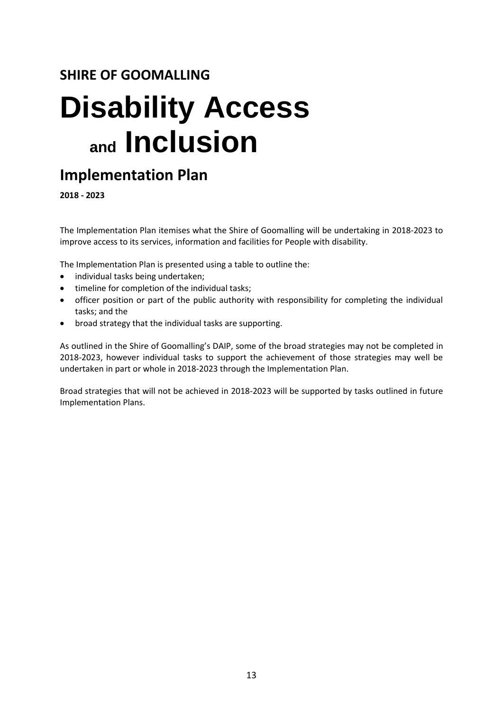## **SHIRE OF GOOMALLING**

# **Disability Access and Inclusion**

## <span id="page-13-0"></span>**Implementation Plan**

**2018 - 2023**

The Implementation Plan itemises what the Shire of Goomalling will be undertaking in 2018-2023 to improve access to its services, information and facilities for People with disability.

The Implementation Plan is presented using a table to outline the:

- individual tasks being undertaken;
- timeline for completion of the individual tasks;
- officer position or part of the public authority with responsibility for completing the individual tasks; and the
- broad strategy that the individual tasks are supporting.

As outlined in the Shire of Goomalling's DAIP, some of the broad strategies may not be completed in 2018-2023, however individual tasks to support the achievement of those strategies may well be undertaken in part or whole in 2018-2023 through the Implementation Plan.

Broad strategies that will not be achieved in 2018-2023 will be supported by tasks outlined in future Implementation Plans.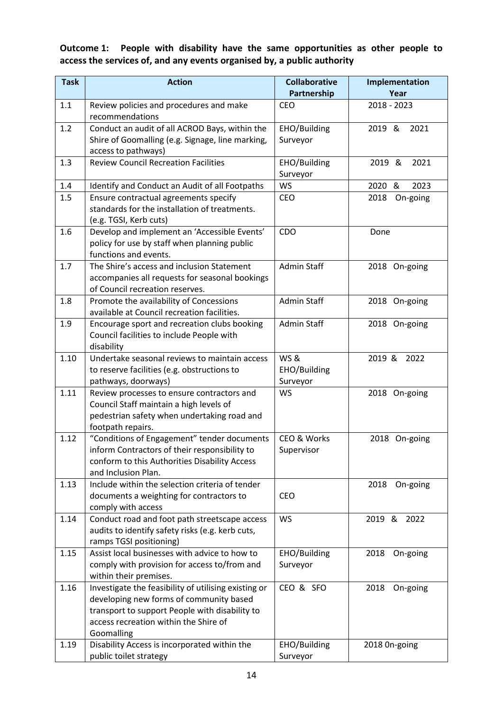#### <span id="page-14-0"></span>**Outcome 1: People with disability have the same opportunities as other people to access the services of, and any events organised by, a public authority**

| <b>Task</b> | <b>Action</b>                                                                                                                                                                                            | <b>Collaborative</b>                       | Implementation    |
|-------------|----------------------------------------------------------------------------------------------------------------------------------------------------------------------------------------------------------|--------------------------------------------|-------------------|
|             |                                                                                                                                                                                                          | Partnership                                | Year              |
| 1.1         | Review policies and procedures and make<br>recommendations                                                                                                                                               | <b>CEO</b>                                 | 2018 - 2023       |
| 1.2         | Conduct an audit of all ACROD Bays, within the<br>Shire of Goomalling (e.g. Signage, line marking,<br>access to pathways)                                                                                | EHO/Building<br>Surveyor                   | 2019 &<br>2021    |
| 1.3         | <b>Review Council Recreation Facilities</b>                                                                                                                                                              | EHO/Building<br>Surveyor                   | 2019 &<br>2021    |
| 1.4         | Identify and Conduct an Audit of all Footpaths                                                                                                                                                           | <b>WS</b>                                  | 2020<br>&<br>2023 |
| 1.5         | Ensure contractual agreements specify<br>standards for the installation of treatments.<br>(e.g. TGSI, Kerb cuts)                                                                                         | <b>CEO</b>                                 | 2018<br>On-going  |
| 1.6         | Develop and implement an 'Accessible Events'<br>policy for use by staff when planning public<br>functions and events.                                                                                    | CDO                                        | Done              |
| 1.7         | The Shire's access and inclusion Statement<br>accompanies all requests for seasonal bookings<br>of Council recreation reserves.                                                                          | <b>Admin Staff</b>                         | 2018 On-going     |
| 1.8         | Promote the availability of Concessions<br>available at Council recreation facilities.                                                                                                                   | <b>Admin Staff</b>                         | 2018 On-going     |
| 1.9         | Encourage sport and recreation clubs booking<br>Council facilities to include People with<br>disability                                                                                                  | Admin Staff                                | 2018 On-going     |
| 1.10        | Undertake seasonal reviews to maintain access<br>to reserve facilities (e.g. obstructions to<br>pathways, doorways)                                                                                      | <b>WS&amp;</b><br>EHO/Building<br>Surveyor | 2022<br>2019 &    |
| 1.11        | Review processes to ensure contractors and<br>Council Staff maintain a high levels of<br>pedestrian safety when undertaking road and<br>footpath repairs.                                                | <b>WS</b>                                  | 2018 On-going     |
| 1.12        | "Conditions of Engagement" tender documents<br>inform Contractors of their responsibility to<br>conform to this Authorities Disability Access<br>and Inclusion Plan.                                     | CEO & Works<br>Supervisor                  | 2018 On-going     |
| 1.13        | Include within the selection criteria of tender<br>documents a weighting for contractors to<br>comply with access                                                                                        | <b>CEO</b>                                 | 2018<br>On-going  |
| 1.14        | Conduct road and foot path streetscape access<br>audits to identify safety risks (e.g. kerb cuts,<br>ramps TGSI positioning)                                                                             | <b>WS</b>                                  | 2019 &<br>2022    |
| 1.15        | Assist local businesses with advice to how to<br>comply with provision for access to/from and<br>within their premises.                                                                                  | EHO/Building<br>Surveyor                   | 2018<br>On-going  |
| 1.16        | Investigate the feasibility of utilising existing or<br>developing new forms of community based<br>transport to support People with disability to<br>access recreation within the Shire of<br>Goomalling | CEO & SFO                                  | 2018<br>On-going  |
| 1.19        | Disability Access is incorporated within the<br>public toilet strategy                                                                                                                                   | EHO/Building<br>Surveyor                   | 2018 On-going     |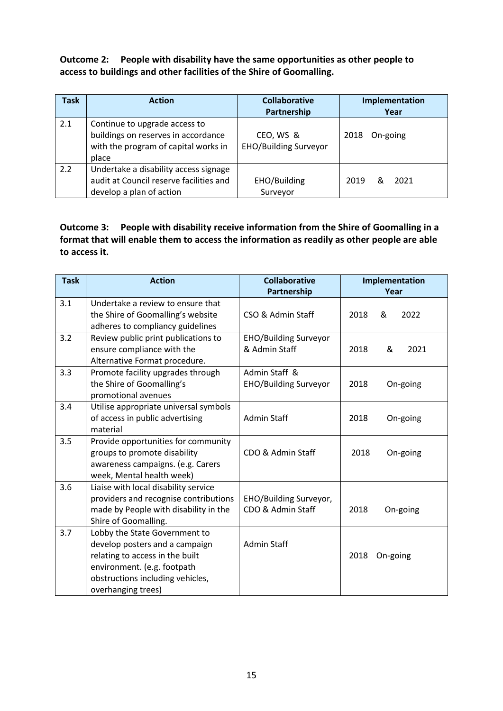<span id="page-15-0"></span>**Outcome 2: People with disability have the same opportunities as other people to access to buildings and other facilities of the Shire of Goomalling.**

| <b>Task</b> | <b>Action</b>                                                                                                         | <b>Collaborative</b><br>Partnership       | Implementation<br>Year |
|-------------|-----------------------------------------------------------------------------------------------------------------------|-------------------------------------------|------------------------|
| 2.1         | Continue to upgrade access to<br>buildings on reserves in accordance<br>with the program of capital works in<br>place | CEO, WS &<br><b>EHO/Building Surveyor</b> | On-going<br>2018       |
| 2.2         | Undertake a disability access signage<br>audit at Council reserve facilities and<br>develop a plan of action          | EHO/Building<br>Surveyor                  | 2019<br>2021<br>ጼ      |

#### <span id="page-15-1"></span>**Outcome 3: People with disability receive information from the Shire of Goomalling in a format that will enable them to access the information as readily as other people are able to access it.**

| <b>Task</b> | <b>Action</b>                                                                                                                                                                               | <b>Collaborative</b><br>Partnership           | Implementation<br>Year |
|-------------|---------------------------------------------------------------------------------------------------------------------------------------------------------------------------------------------|-----------------------------------------------|------------------------|
| 3.1         | Undertake a review to ensure that<br>the Shire of Goomalling's website<br>adheres to compliancy guidelines                                                                                  | CSO & Admin Staff                             | 2022<br>2018<br>&      |
| 3.2         | Review public print publications to<br>ensure compliance with the<br>Alternative Format procedure.                                                                                          | <b>EHO/Building Surveyor</b><br>& Admin Staff | 2021<br>2018<br>&      |
| 3.3         | Promote facility upgrades through<br>the Shire of Goomalling's<br>promotional avenues                                                                                                       | Admin Staff &<br><b>EHO/Building Surveyor</b> | 2018<br>On-going       |
| 3.4         | Utilise appropriate universal symbols<br>of access in public advertising<br>material                                                                                                        | <b>Admin Staff</b>                            | 2018<br>On-going       |
| 3.5         | Provide opportunities for community<br>groups to promote disability<br>awareness campaigns. (e.g. Carers<br>week, Mental health week)                                                       | CDO & Admin Staff                             | 2018<br>On-going       |
| 3.6         | Liaise with local disability service<br>providers and recognise contributions<br>made by People with disability in the<br>Shire of Goomalling.                                              | EHO/Building Surveyor,<br>CDO & Admin Staff   | 2018<br>On-going       |
| 3.7         | Lobby the State Government to<br>develop posters and a campaign<br>relating to access in the built<br>environment. (e.g. footpath<br>obstructions including vehicles,<br>overhanging trees) | <b>Admin Staff</b>                            | 2018<br>On-going       |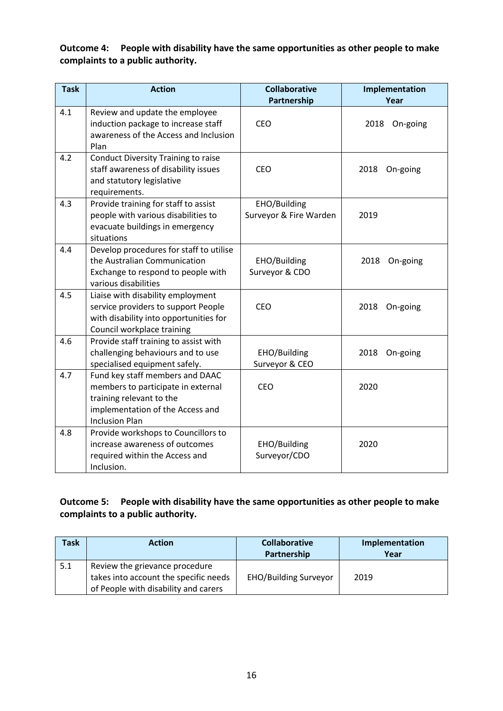#### <span id="page-16-0"></span>**Outcome 4: People with disability have the same opportunities as other people to make complaints to a public authority.**

| <b>Task</b> | <b>Action</b>                                                                                                                                                  | <b>Collaborative</b><br>Partnership    | Implementation<br>Year |
|-------------|----------------------------------------------------------------------------------------------------------------------------------------------------------------|----------------------------------------|------------------------|
| 4.1         | Review and update the employee<br>induction package to increase staff<br>awareness of the Access and Inclusion<br>Plan                                         | <b>CEO</b>                             | 2018<br>On-going       |
| 4.2         | Conduct Diversity Training to raise<br>staff awareness of disability issues<br>and statutory legislative<br>requirements.                                      | CEO                                    | 2018<br>On-going       |
| 4.3         | Provide training for staff to assist<br>people with various disabilities to<br>evacuate buildings in emergency<br>situations                                   | EHO/Building<br>Surveyor & Fire Warden | 2019                   |
| 4.4         | Develop procedures for staff to utilise<br>the Australian Communication<br>Exchange to respond to people with<br>various disabilities                          | EHO/Building<br>Surveyor & CDO         | 2018<br>On-going       |
| 4.5         | Liaise with disability employment<br>service providers to support People<br>with disability into opportunities for<br>Council workplace training               | <b>CEO</b>                             | 2018<br>On-going       |
| 4.6         | Provide staff training to assist with<br>challenging behaviours and to use<br>specialised equipment safely.                                                    | EHO/Building<br>Surveyor & CEO         | On-going<br>2018       |
| 4.7         | Fund key staff members and DAAC<br>members to participate in external<br>training relevant to the<br>implementation of the Access and<br><b>Inclusion Plan</b> | <b>CEO</b>                             | 2020                   |
| 4.8         | Provide workshops to Councillors to<br>increase awareness of outcomes<br>required within the Access and<br>Inclusion.                                          | EHO/Building<br>Surveyor/CDO           | 2020                   |

#### <span id="page-16-1"></span>**Outcome 5: People with disability have the same opportunities as other people to make complaints to a public authority.**

| Task | <b>Action</b>                         | <b>Collaborative</b>         | Implementation |
|------|---------------------------------------|------------------------------|----------------|
|      |                                       | Partnership                  | Year           |
| 5.1  | Review the grievance procedure        |                              |                |
|      | takes into account the specific needs | <b>EHO/Building Surveyor</b> | 2019           |
|      | of People with disability and carers  |                              |                |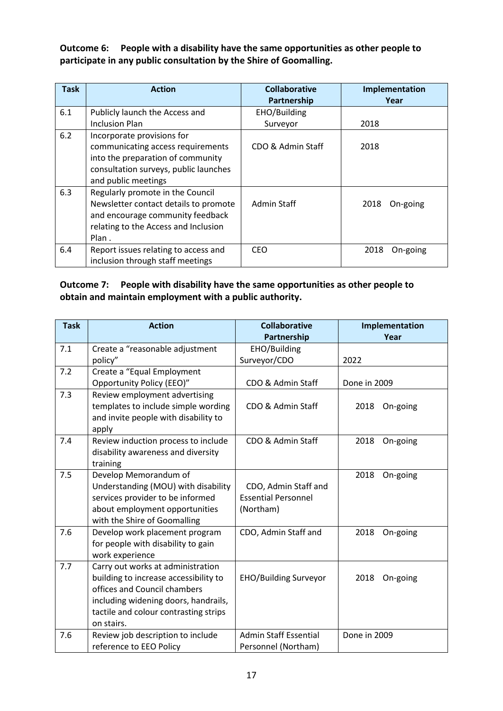<span id="page-17-0"></span>**Outcome 6: People with a disability have the same opportunities as other people to participate in any public consultation by the Shire of Goomalling.**

| <b>Task</b> | <b>Action</b>                         | <b>Collaborative</b> | Implementation   |
|-------------|---------------------------------------|----------------------|------------------|
|             |                                       | Partnership          | Year             |
| 6.1         | Publicly launch the Access and        | EHO/Building         |                  |
|             | <b>Inclusion Plan</b>                 | Surveyor             | 2018             |
| 6.2         | Incorporate provisions for            |                      |                  |
|             | communicating access requirements     | CDO & Admin Staff    | 2018             |
|             | into the preparation of community     |                      |                  |
|             | consultation surveys, public launches |                      |                  |
|             | and public meetings                   |                      |                  |
| 6.3         | Regularly promote in the Council      |                      |                  |
|             | Newsletter contact details to promote | Admin Staff          | On-going<br>2018 |
|             | and encourage community feedback      |                      |                  |
|             | relating to the Access and Inclusion  |                      |                  |
|             | Plan.                                 |                      |                  |
| 6.4         | Report issues relating to access and  | CEO.                 | 2018<br>On-going |
|             | inclusion through staff meetings      |                      |                  |

#### <span id="page-17-1"></span>**Outcome 7: People with disability have the same opportunities as other people to obtain and maintain employment with a public authority.**

| <b>Task</b> | <b>Action</b>                         | <b>Collaborative</b>         | Implementation   |
|-------------|---------------------------------------|------------------------------|------------------|
|             |                                       | Partnership                  | Year             |
| 7.1         | Create a "reasonable adjustment       | EHO/Building                 |                  |
|             | policy"                               | Surveyor/CDO                 | 2022             |
| 7.2         | Create a "Equal Employment            |                              |                  |
|             | Opportunity Policy (EEO)"             | CDO & Admin Staff            | Done in 2009     |
| 7.3         | Review employment advertising         |                              |                  |
|             | templates to include simple wording   | CDO & Admin Staff            | On-going<br>2018 |
|             | and invite people with disability to  |                              |                  |
|             | apply                                 |                              |                  |
| 7.4         | Review induction process to include   | CDO & Admin Staff            | 2018<br>On-going |
|             | disability awareness and diversity    |                              |                  |
|             | training                              |                              |                  |
| 7.5         | Develop Memorandum of                 |                              | 2018<br>On-going |
|             | Understanding (MOU) with disability   | CDO, Admin Staff and         |                  |
|             | services provider to be informed      | <b>Essential Personnel</b>   |                  |
|             | about employment opportunities        | (Northam)                    |                  |
|             | with the Shire of Goomalling          |                              |                  |
| 7.6         | Develop work placement program        | CDO, Admin Staff and         | 2018<br>On-going |
|             | for people with disability to gain    |                              |                  |
|             | work experience                       |                              |                  |
| 7.7         | Carry out works at administration     |                              |                  |
|             | building to increase accessibility to | <b>EHO/Building Surveyor</b> | On-going<br>2018 |
|             | offices and Council chambers          |                              |                  |
|             | including widening doors, handrails,  |                              |                  |
|             | tactile and colour contrasting strips |                              |                  |
|             | on stairs.                            |                              |                  |
| 7.6         | Review job description to include     | <b>Admin Staff Essential</b> | Done in 2009     |
|             | reference to EEO Policy               | Personnel (Northam)          |                  |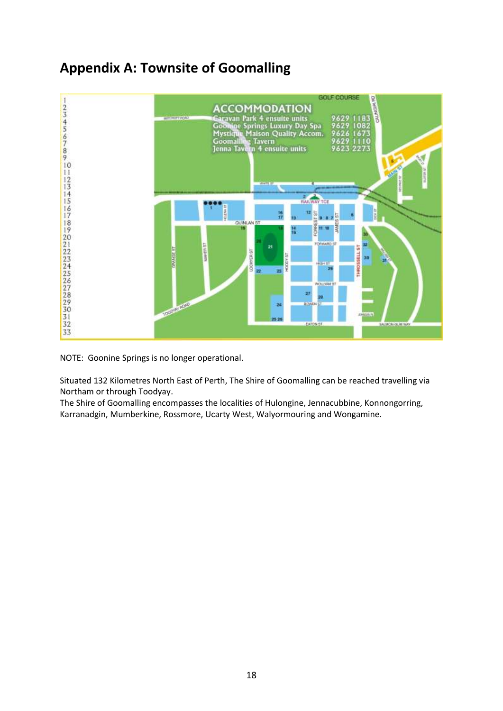## <span id="page-18-0"></span>**Appendix A: Townsite of Goomalling**



NOTE: Goonine Springs is no longer operational.

Situated 132 Kilometres North East of Perth, The Shire of Goomalling can be reached travelling via Northam or through Toodyay.

<span id="page-18-1"></span>The Shire of Goomalling encompasses the localities of Hulongine, Jennacubbine, Konnongorring, Karranadgin, Mumberkine, Rossmore, Ucarty West, Walyormouring and Wongamine.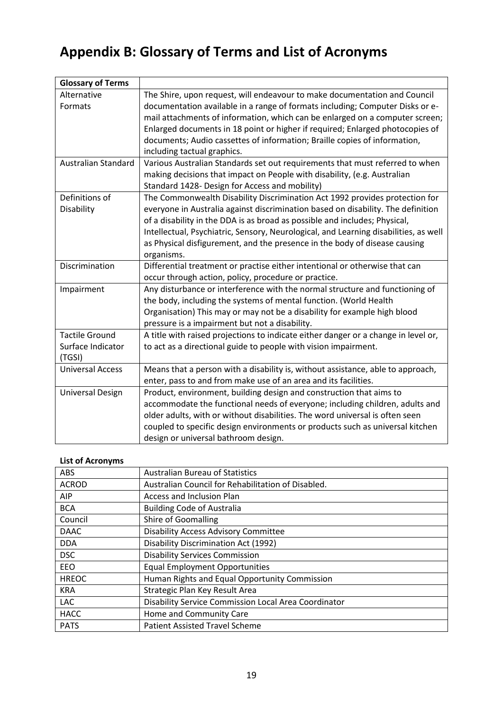## <span id="page-19-0"></span>**Appendix B: Glossary of Terms and List of Acronyms**

| <b>Glossary of Terms</b>   |                                                                                      |
|----------------------------|--------------------------------------------------------------------------------------|
| Alternative                | The Shire, upon request, will endeavour to make documentation and Council            |
| Formats                    | documentation available in a range of formats including; Computer Disks or e-        |
|                            | mail attachments of information, which can be enlarged on a computer screen;         |
|                            | Enlarged documents in 18 point or higher if required; Enlarged photocopies of        |
|                            | documents; Audio cassettes of information; Braille copies of information,            |
|                            | including tactual graphics.                                                          |
| <b>Australian Standard</b> | Various Australian Standards set out requirements that must referred to when         |
|                            | making decisions that impact on People with disability, (e.g. Australian             |
|                            | Standard 1428- Design for Access and mobility)                                       |
| Definitions of             | The Commonwealth Disability Discrimination Act 1992 provides protection for          |
| Disability                 | everyone in Australia against discrimination based on disability. The definition     |
|                            | of a disability in the DDA is as broad as possible and includes; Physical,           |
|                            | Intellectual, Psychiatric, Sensory, Neurological, and Learning disabilities, as well |
|                            | as Physical disfigurement, and the presence in the body of disease causing           |
|                            | organisms.                                                                           |
| Discrimination             | Differential treatment or practise either intentional or otherwise that can          |
|                            | occur through action, policy, procedure or practice.                                 |
| Impairment                 | Any disturbance or interference with the normal structure and functioning of         |
|                            | the body, including the systems of mental function. (World Health                    |
|                            | Organisation) This may or may not be a disability for example high blood             |
|                            | pressure is a impairment but not a disability.                                       |
| <b>Tactile Ground</b>      | A title with raised projections to indicate either danger or a change in level or,   |
| Surface Indicator          | to act as a directional guide to people with vision impairment.                      |
| (TGSI)                     |                                                                                      |
| <b>Universal Access</b>    | Means that a person with a disability is, without assistance, able to approach,      |
|                            | enter, pass to and from make use of an area and its facilities.                      |
| <b>Universal Design</b>    | Product, environment, building design and construction that aims to                  |
|                            | accommodate the functional needs of everyone; including children, adults and         |
|                            | older adults, with or without disabilities. The word universal is often seen         |
|                            | coupled to specific design environments or products such as universal kitchen        |
|                            | design or universal bathroom design.                                                 |

#### **List of Acronyms**

| ABS          | <b>Australian Bureau of Statistics</b>               |
|--------------|------------------------------------------------------|
| <b>ACROD</b> | Australian Council for Rehabilitation of Disabled.   |
| <b>AIP</b>   | Access and Inclusion Plan                            |
| <b>BCA</b>   | <b>Building Code of Australia</b>                    |
| Council      | <b>Shire of Goomalling</b>                           |
| <b>DAAC</b>  | <b>Disability Access Advisory Committee</b>          |
| <b>DDA</b>   | Disability Discrimination Act (1992)                 |
| <b>DSC</b>   | <b>Disability Services Commission</b>                |
| EEO          | <b>Equal Employment Opportunities</b>                |
| <b>HREOC</b> | Human Rights and Equal Opportunity Commission        |
| <b>KRA</b>   | Strategic Plan Key Result Area                       |
| <b>LAC</b>   | Disability Service Commission Local Area Coordinator |
| <b>HACC</b>  | Home and Community Care                              |
| <b>PATS</b>  | <b>Patient Assisted Travel Scheme</b>                |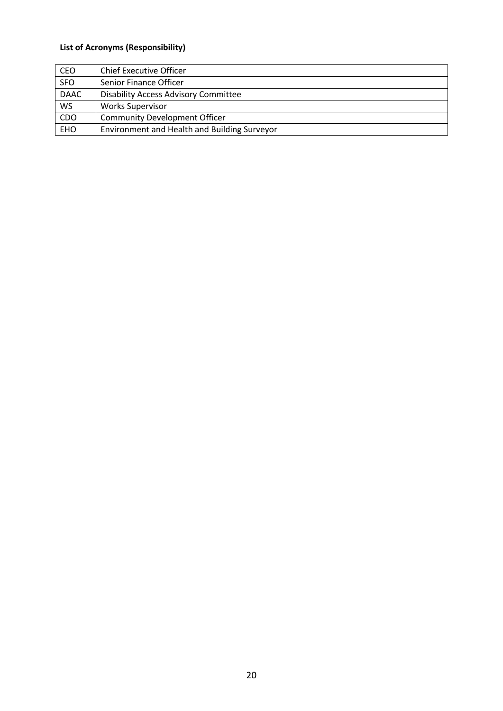### **List of Acronyms (Responsibility)**

| <b>CEO</b>  | <b>Chief Executive Officer</b>               |  |  |
|-------------|----------------------------------------------|--|--|
| <b>SFO</b>  | Senior Finance Officer                       |  |  |
| <b>DAAC</b> | <b>Disability Access Advisory Committee</b>  |  |  |
| <b>WS</b>   | <b>Works Supervisor</b>                      |  |  |
| CDO         | <b>Community Development Officer</b>         |  |  |
| <b>EHO</b>  | Environment and Health and Building Surveyor |  |  |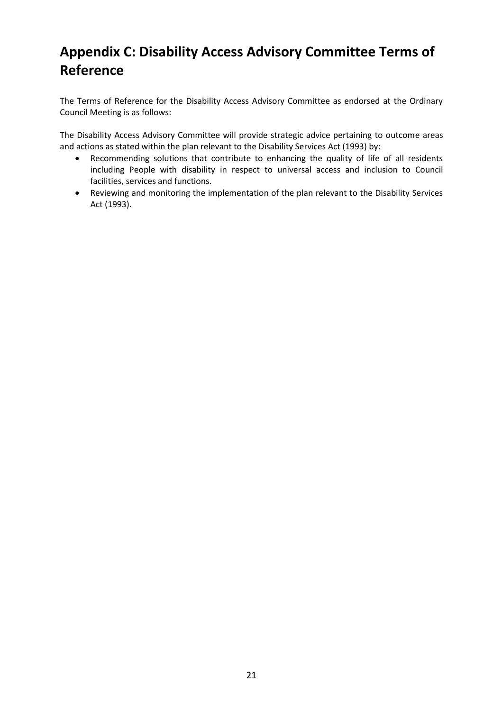## **Appendix C: Disability Access Advisory Committee Terms of Reference**

The Terms of Reference for the Disability Access Advisory Committee as endorsed at the Ordinary Council Meeting is as follows:

The Disability Access Advisory Committee will provide strategic advice pertaining to outcome areas and actions as stated within the plan relevant to the Disability Services Act (1993) by:

- Recommending solutions that contribute to enhancing the quality of life of all residents including People with disability in respect to universal access and inclusion to Council facilities, services and functions.
- Reviewing and monitoring the implementation of the plan relevant to the Disability Services Act (1993).